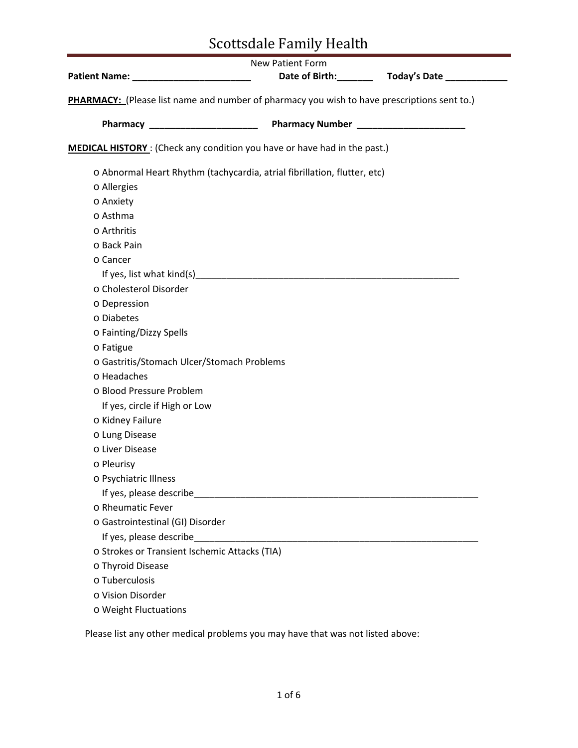|                                                                                                                | New Patient Form      |                          |
|----------------------------------------------------------------------------------------------------------------|-----------------------|--------------------------|
|                                                                                                                | Date of Birth:_______ | Today's Date ___________ |
| PHARMACY: (Please list name and number of pharmacy you wish to have prescriptions sent to.)                    |                       |                          |
|                                                                                                                |                       |                          |
|                                                                                                                |                       |                          |
| <b>MEDICAL HISTORY</b> : (Check any condition you have or have had in the past.)                               |                       |                          |
|                                                                                                                |                       |                          |
| o Abnormal Heart Rhythm (tachycardia, atrial fibrillation, flutter, etc)                                       |                       |                          |
| o Allergies                                                                                                    |                       |                          |
| o Anxiety                                                                                                      |                       |                          |
| o Asthma                                                                                                       |                       |                          |
| o Arthritis                                                                                                    |                       |                          |
| o Back Pain                                                                                                    |                       |                          |
| o Cancer                                                                                                       |                       |                          |
| If yes, list what kind(s) https://www.assett.com/www.assett.com/www.assett.com/www.assett.com/www.assett.com/w |                       |                          |
| o Cholesterol Disorder                                                                                         |                       |                          |
| o Depression                                                                                                   |                       |                          |
| o Diabetes                                                                                                     |                       |                          |
| o Fainting/Dizzy Spells                                                                                        |                       |                          |
| o Fatigue                                                                                                      |                       |                          |
| o Gastritis/Stomach Ulcer/Stomach Problems                                                                     |                       |                          |
| o Headaches                                                                                                    |                       |                          |
| o Blood Pressure Problem                                                                                       |                       |                          |
| If yes, circle if High or Low                                                                                  |                       |                          |
| o Kidney Failure                                                                                               |                       |                          |
| o Lung Disease                                                                                                 |                       |                          |
| o Liver Disease                                                                                                |                       |                          |
| o Pleurisy                                                                                                     |                       |                          |
| o Psychiatric Illness                                                                                          |                       |                          |
|                                                                                                                |                       |                          |
| o Rheumatic Fever                                                                                              |                       |                          |
| o Gastrointestinal (GI) Disorder                                                                               |                       |                          |
| If yes, please describe_                                                                                       |                       |                          |
| o Strokes or Transient Ischemic Attacks (TIA)                                                                  |                       |                          |
| o Thyroid Disease                                                                                              |                       |                          |
| o Tuberculosis                                                                                                 |                       |                          |
| o Vision Disorder                                                                                              |                       |                          |
| o Weight Fluctuations                                                                                          |                       |                          |

Please list any other medical problems you may have that was not listed above: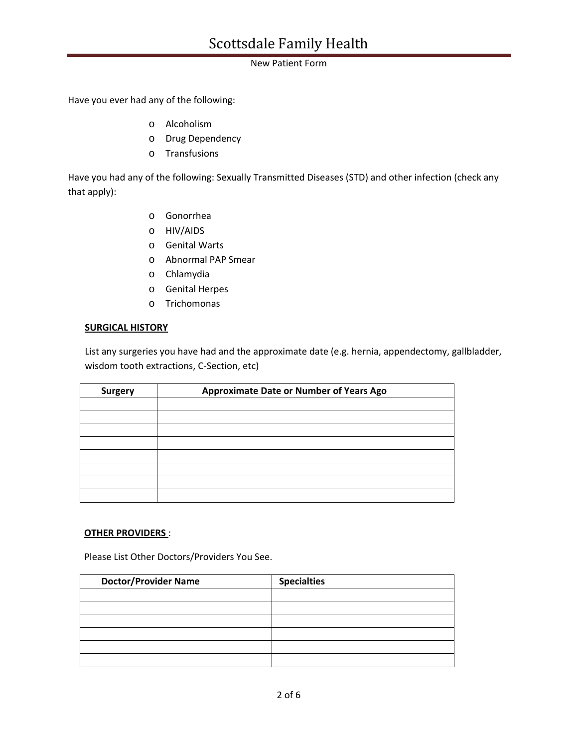### New Patient Form

Have you ever had any of the following:

- o Alcoholism
- o Drug Dependency
- o Transfusions

Have you had any of the following: Sexually Transmitted Diseases (STD) and other infection (check any that apply):

- o Gonorrhea
- o HIV/AIDS
- o Genital Warts
- o Abnormal PAP Smear
- o Chlamydia
- o Genital Herpes
- o Trichomonas

### **SURGICAL HISTORY**

List any surgeries you have had and the approximate date (e.g. hernia, appendectomy, gallbladder, wisdom tooth extractions, C‐Section, etc)

| <b>Surgery</b> | Approximate Date or Number of Years Ago |
|----------------|-----------------------------------------|
|                |                                         |
|                |                                         |
|                |                                         |
|                |                                         |
|                |                                         |
|                |                                         |
|                |                                         |
|                |                                         |

## **OTHER PROVIDERS** :

Please List Other Doctors/Providers You See.

| <b>Doctor/Provider Name</b> | <b>Specialties</b> |
|-----------------------------|--------------------|
|                             |                    |
|                             |                    |
|                             |                    |
|                             |                    |
|                             |                    |
|                             |                    |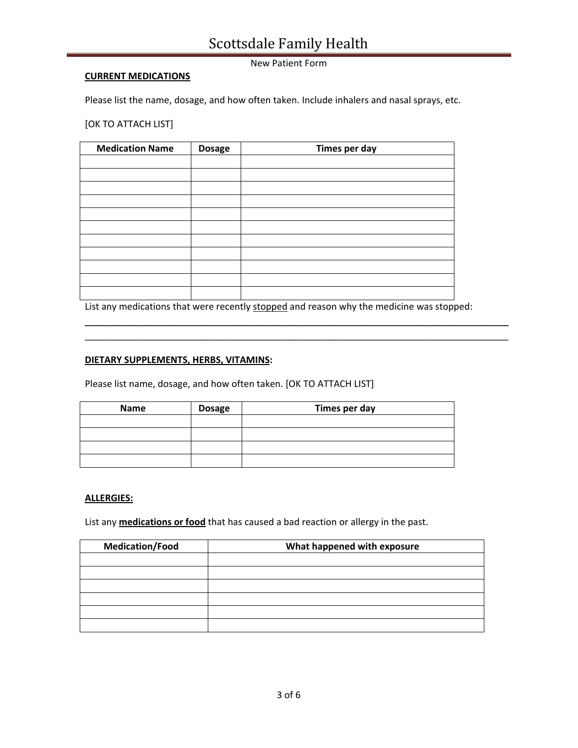### New Patient Form

### **CURRENT MEDICATIONS**

Please list the name, dosage, and how often taken. Include inhalers and nasal sprays, etc.

[OK TO ATTACH LIST]

| <b>Medication Name</b> | <b>Dosage</b> | Times per day |
|------------------------|---------------|---------------|
|                        |               |               |
|                        |               |               |
|                        |               |               |
|                        |               |               |
|                        |               |               |
|                        |               |               |
|                        |               |               |
|                        |               |               |
|                        |               |               |
|                        |               |               |
|                        |               |               |

List any medications that were recently stopped and reason why the medicine was stopped:

\_\_\_\_\_\_\_\_\_\_\_\_\_\_\_\_\_\_\_\_\_\_\_\_\_\_\_\_\_\_\_\_\_\_\_\_\_\_\_\_\_\_\_\_\_\_\_\_\_\_\_\_\_\_\_\_\_\_\_\_\_\_\_\_\_\_\_\_\_\_\_\_\_\_\_\_\_\_\_\_\_\_ \_\_\_\_\_\_\_\_\_\_\_\_\_\_\_\_\_\_\_\_\_\_\_\_\_\_\_\_\_\_\_\_\_\_\_\_\_\_\_\_\_\_\_\_\_\_\_\_\_\_\_\_\_\_\_\_\_\_\_\_\_\_\_\_\_\_\_\_\_\_\_\_\_\_\_\_\_\_\_\_\_\_

### **DIETARY SUPPLEMENTS, HERBS, VITAMINS:**

Please list name, dosage, and how often taken. [OK TO ATTACH LIST]

| <b>Name</b> | <b>Dosage</b> | Times per day |
|-------------|---------------|---------------|
|             |               |               |
|             |               |               |
|             |               |               |
|             |               |               |

#### **ALLERGIES:**

List any **medications or food** that has caused a bad reaction or allergy in the past.

| <b>Medication/Food</b><br>What happened with exposure |  |
|-------------------------------------------------------|--|
|                                                       |  |
|                                                       |  |
|                                                       |  |
|                                                       |  |
|                                                       |  |
|                                                       |  |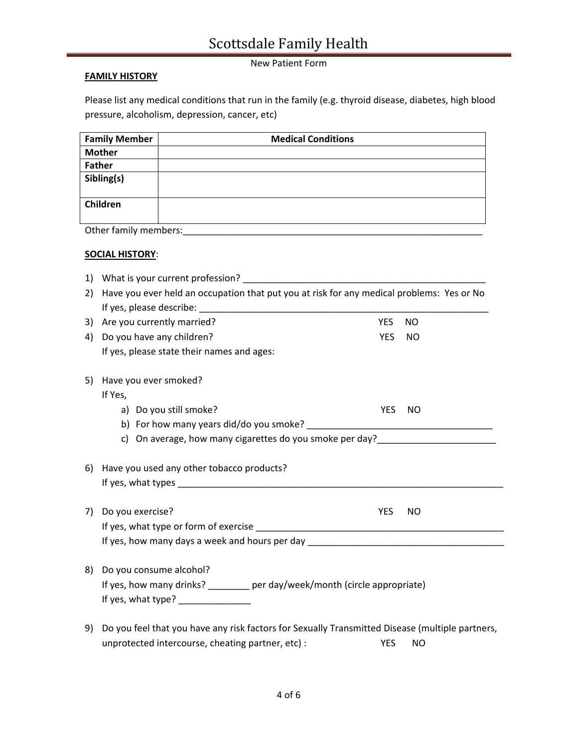## New Patient Form

## **FAMILY HISTORY**

Please list any medical conditions that run in the family (e.g. thyroid disease, diabetes, high blood pressure, alcoholism, depression, cancer, etc)

| <b>Family Member</b>  | <b>Medical Conditions</b> |  |  |
|-----------------------|---------------------------|--|--|
| <b>Mother</b>         |                           |  |  |
| <b>Father</b>         |                           |  |  |
| Sibling(s)            |                           |  |  |
|                       |                           |  |  |
| Children              |                           |  |  |
|                       |                           |  |  |
| Other family members: |                           |  |  |

## **SOCIAL HISTORY**:

| 1) | What is your current profession?                                                                |            |           |  |  |
|----|-------------------------------------------------------------------------------------------------|------------|-----------|--|--|
| 2) | Have you ever held an occupation that put you at risk for any medical problems: Yes or No       |            |           |  |  |
|    |                                                                                                 |            |           |  |  |
| 3) | Are you currently married?                                                                      | <b>YES</b> | <b>NO</b> |  |  |
| 4) | Do you have any children?                                                                       | <b>YES</b> | NO        |  |  |
|    | If yes, please state their names and ages:                                                      |            |           |  |  |
| 5) | Have you ever smoked?                                                                           |            |           |  |  |
|    | If Yes,                                                                                         |            |           |  |  |
|    | a) Do you still smoke?                                                                          | <b>YES</b> | <b>NO</b> |  |  |
|    |                                                                                                 |            |           |  |  |
|    | c) On average, how many cigarettes do you smoke per day?________________________                |            |           |  |  |
|    |                                                                                                 |            |           |  |  |
| 6) | Have you used any other tobacco products?                                                       |            |           |  |  |
|    |                                                                                                 |            |           |  |  |
|    |                                                                                                 |            |           |  |  |
| 7) | Do you exercise?                                                                                | <b>YES</b> | <b>NO</b> |  |  |
|    |                                                                                                 |            |           |  |  |
|    | If yes, how many days a week and hours per day _________________________________                |            |           |  |  |
|    |                                                                                                 |            |           |  |  |
| 8) | Do you consume alcohol?                                                                         |            |           |  |  |
|    | If yes, how many drinks? ________ per day/week/month (circle appropriate)                       |            |           |  |  |
|    | If yes, what type? _________________                                                            |            |           |  |  |
|    |                                                                                                 |            |           |  |  |
| 9) | Do you feel that you have any risk factors for Sexually Transmitted Disease (multiple partners, |            |           |  |  |
|    | unprotected intercourse, cheating partner, etc) :                                               | <b>YES</b> | NO        |  |  |
|    |                                                                                                 |            |           |  |  |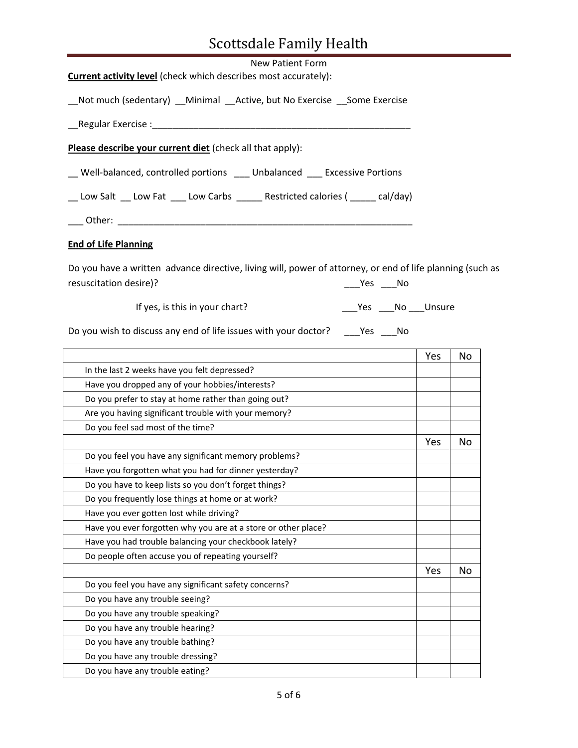| <b>New Patient Form</b>                                                                                                             |                             |     |     |
|-------------------------------------------------------------------------------------------------------------------------------------|-----------------------------|-----|-----|
| <b>Current activity level</b> (check which describes most accurately):                                                              |                             |     |     |
| _Not much (sedentary) __Minimal __Active, but No Exercise __Some Exercise                                                           |                             |     |     |
|                                                                                                                                     |                             |     |     |
| Please describe your current diet (check all that apply):                                                                           |                             |     |     |
| __ Well-balanced, controlled portions ___ Unbalanced ___ Excessive Portions                                                         |                             |     |     |
| __ Low Salt ___ Low Fat ____ Low Carbs ______ Restricted calories ( ______ cal/day)                                                 |                             |     |     |
|                                                                                                                                     |                             |     |     |
| <b>End of Life Planning</b>                                                                                                         |                             |     |     |
| Do you have a written advance directive, living will, power of attorney, or end of life planning (such as<br>resuscitation desire)? | ___Yes ____No               |     |     |
| If yes, is this in your chart?                                                                                                      | ____Yes _____No _____Unsure |     |     |
| Do you wish to discuss any end of life issues with your doctor? ______ Yes _____ No                                                 |                             |     |     |
|                                                                                                                                     |                             | Yes | No. |
| In the last 2 weeks have you felt depressed?                                                                                        |                             |     |     |
| Have you dropped any of your hobbies/interests?                                                                                     |                             |     |     |
| Do you prefer to stay at home rather than going out?                                                                                |                             |     |     |
| Are you having significant trouble with your memory?                                                                                |                             |     |     |
| Do you feel sad most of the time?                                                                                                   |                             |     |     |
|                                                                                                                                     |                             | Yes | No  |
| Do you feel you have any significant memory problems?                                                                               |                             |     |     |
| Have you forgotten what you had for dinner yesterday?                                                                               |                             |     |     |
| Do you have to keep lists so you don't forget things?                                                                               |                             |     |     |
| Do you frequently lose things at home or at work?                                                                                   |                             |     |     |
| Have you ever gotten lost while driving?                                                                                            |                             |     |     |
|                                                                                                                                     |                             |     |     |
|                                                                                                                                     |                             |     |     |
| Have you ever forgotten why you are at a store or other place?                                                                      |                             |     |     |
| Have you had trouble balancing your checkbook lately?                                                                               |                             |     |     |
| Do people often accuse you of repeating yourself?                                                                                   |                             |     |     |
| Do you feel you have any significant safety concerns?                                                                               |                             | Yes | No  |
|                                                                                                                                     |                             |     |     |
| Do you have any trouble seeing?                                                                                                     |                             |     |     |
| Do you have any trouble speaking?                                                                                                   |                             |     |     |
| Do you have any trouble hearing?                                                                                                    |                             |     |     |
| Do you have any trouble bathing?<br>Do you have any trouble dressing?                                                               |                             |     |     |